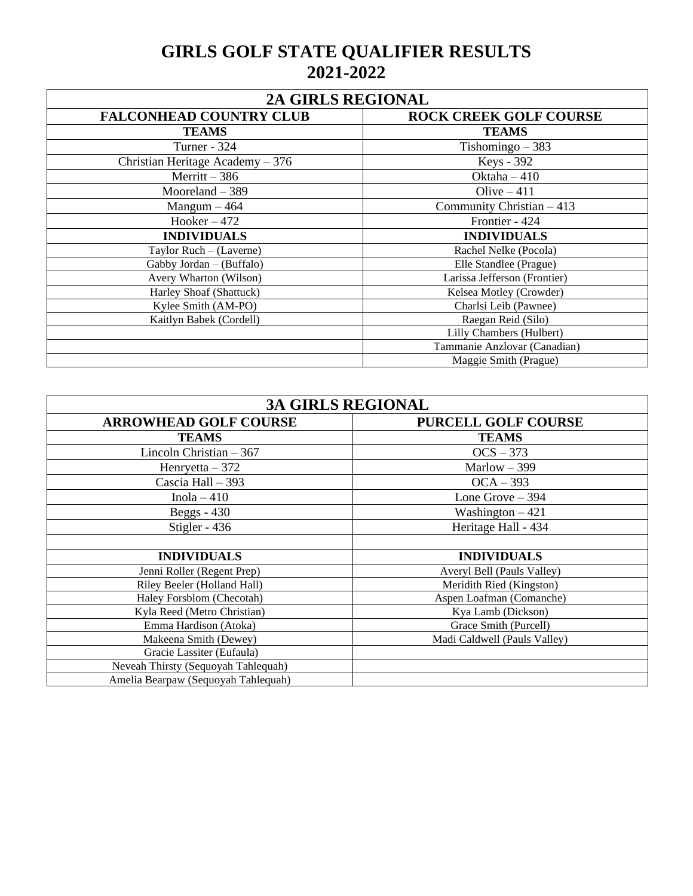## **GIRLS GOLF STATE QUALIFIER RESULTS 2021-2022**

| 2A GIRLS REGIONAL                 |                               |  |
|-----------------------------------|-------------------------------|--|
| <b>FALCONHEAD COUNTRY CLUB</b>    | <b>ROCK CREEK GOLF COURSE</b> |  |
| <b>TEAMS</b>                      | <b>TEAMS</b>                  |  |
| <b>Turner - 324</b>               | Tishomingo $-383$             |  |
| Christian Heritage Academy $-376$ | Keys - 392                    |  |
| $Merritt - 386$                   | Oktaha $-410$                 |  |
| Mooreland $-389$                  | Olive $-411$                  |  |
| $Mangum - 464$                    | Community Christian $-413$    |  |
| $Hooker - 472$                    | Frontier - 424                |  |
| <b>INDIVIDUALS</b>                | <b>INDIVIDUALS</b>            |  |
| Taylor Ruch - (Laverne)           | Rachel Nelke (Pocola)         |  |
| Gabby Jordan - (Buffalo)          | Elle Standlee (Prague)        |  |
| Avery Wharton (Wilson)            | Larissa Jefferson (Frontier)  |  |
| Harley Shoaf (Shattuck)           | Kelsea Motley (Crowder)       |  |
| Kylee Smith (AM-PO)               | Charlsi Leib (Pawnee)         |  |
| Kaitlyn Babek (Cordell)           | Raegan Reid (Silo)            |  |
|                                   | Lilly Chambers (Hulbert)      |  |
|                                   | Tammanie Anzlovar (Canadian)  |  |
|                                   | Maggie Smith (Prague)         |  |

| <b>3A GIRLS REGIONAL</b>            |                              |  |
|-------------------------------------|------------------------------|--|
| <b>ARROWHEAD GOLF COURSE</b>        | <b>PURCELL GOLF COURSE</b>   |  |
| <b>TEAMS</b>                        | <b>TEAMS</b>                 |  |
| Lincoln Christian $-367$            | $OCS - 373$                  |  |
| Henryetta $-372$                    | Marlow $-399$                |  |
| Cascia Hall - 393                   | $OCA - 393$                  |  |
| Inola $-410$                        | Lone Grove $-394$            |  |
| Beggs $-430$                        | Washington $-421$            |  |
| Stigler - 436                       | Heritage Hall - 434          |  |
|                                     |                              |  |
| <b>INDIVIDUALS</b>                  | <b>INDIVIDUALS</b>           |  |
| Jenni Roller (Regent Prep)          | Averyl Bell (Pauls Valley)   |  |
| Riley Beeler (Holland Hall)         | Meridith Ried (Kingston)     |  |
| Haley Forsblom (Checotah)           | Aspen Loafman (Comanche)     |  |
| Kyla Reed (Metro Christian)         | Kya Lamb (Dickson)           |  |
| Emma Hardison (Atoka)               | Grace Smith (Purcell)        |  |
| Makeena Smith (Dewey)               | Madi Caldwell (Pauls Valley) |  |
| Gracie Lassiter (Eufaula)           |                              |  |
| Neveah Thirsty (Sequoyah Tahlequah) |                              |  |
| Amelia Bearpaw (Sequoyah Tahlequah) |                              |  |